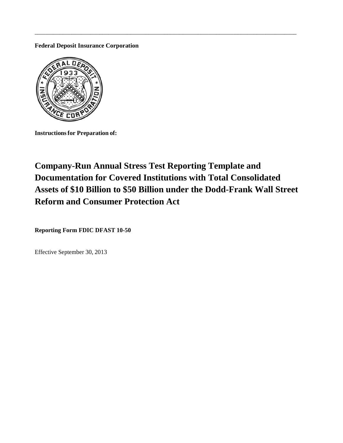**Federal Deposit Insurance Corporation**



**Instructionsfor Preparation of:**

# **Company-Run Annual Stress Test Reporting Template and Documentation for Covered Institutions with Total Consolidated Assets of \$10 Billion to \$50 Billion under the Dodd-Frank Wall Street Reform and Consumer Protection Act**

\_\_\_\_\_\_\_\_\_\_\_\_\_\_\_\_\_\_\_\_\_\_\_\_\_\_\_\_\_\_\_\_\_\_\_\_\_\_\_\_\_\_\_\_\_\_\_\_\_\_\_\_\_\_\_\_\_\_\_\_\_\_\_\_\_\_\_\_\_\_\_\_\_\_\_\_\_\_\_\_\_\_\_\_\_

**Reporting Form FDIC DFAST 10-50**

Effective September 30, 2013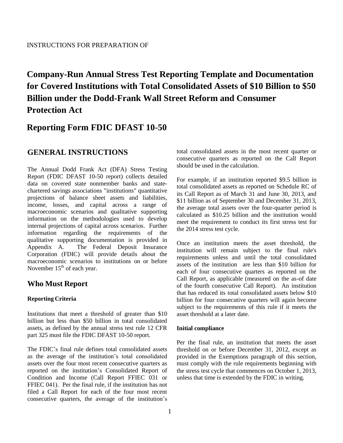# **Company-Run Annual Stress Test Reporting Template and Documentation for Covered Institutions with Total Consolidated Assets of \$10 Billion to \$50 Billion under the Dodd-Frank Wall Street Reform and Consumer Protection Act**

# **Reporting Form FDIC DFAST 10-50**

# **GENERAL INSTRUCTIONS**

The Annual Dodd Frank Act (DFA) Stress Testing Report (FDIC DFAST 10-50 report) collects detailed data on covered state nonmember banks and statechartered savings associations "institutions" quantitative projections of balance sheet assets and liabilities, income, losses, and capital across a range of macroeconomic scenarios and qualitative supporting information on the methodologies used to develop internal projections of capital across scenarios. Further information regarding the requirements of the qualitative supporting documentation is provided in Appendix A. The Federal Deposit Insurance Corporation (FDIC) will provide details about the macroeconomic scenarios to institutions on or before November  $15<sup>th</sup>$  of each year.

# **Who Must Report**

# **Reporting Criteria**

Institutions that meet a threshold of greater than \$10 billion but less than \$50 billion in total consolidated assets, as defined by the annual stress test rule 12 CFR part 325 must file the FDIC DFAST 10-50 report.

The FDIC's final rule defines total consolidated assets as the average of the institution's total consolidated assets over the four most recent consecutive quarters as reported on the institution's Consolidated Report of Condition and Income (Call Report FFIEC 031 or FFIEC 041). Per the final rule, if the institution has not filed a Call Report for each of the four most recent consecutive quarters, the average of the institution's total consolidated assets in the most recent quarter or consecutive quarters as reported on the Call Report should be used in the calculation.

For example, if an institution reported \$9.5 billion in total consolidated assets as reported on Schedule RC of its Call Report as of March 31 and June 30, 2013, and \$11 billion as of September 30 and December 31, 2013, the average total assets over the four-quarter period is calculated as \$10.25 billion and the institution would meet the requirement to conduct its first stress test for the 2014 stress test cycle.

Once an institution meets the asset threshold, the institution will remain subject to the final rule's requirements unless and until the total consolidated assets of the institution are less than \$10 billion for each of four consecutive quarters as reported on the Call Report, as applicable (measured on the as-of date of the fourth consecutive Call Report). An institution that has reduced its total consolidated assets below \$10 billion for four consecutive quarters will again become subject to the requirements of this rule if it meets the asset threshold at a later date.

#### **Initial compliance**

Per the final rule, an institution that meets the asset threshold on or before December 31, 2012, except as provided in the Exemptions paragraph of this section, must comply with the rule requirements beginning with the stress test cycle that commences on October 1, 2013, unless that time is extended by the FDIC in writing.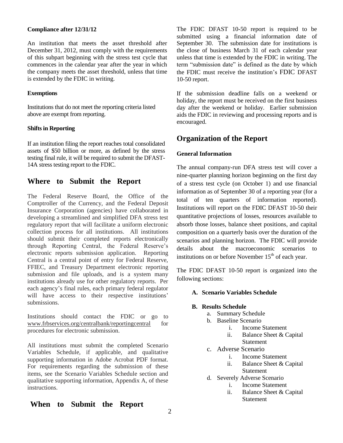#### **Compliance after 12/31/12**

An institution that meets the asset threshold after December 31, 2012, must comply with the requirements of this subpart beginning with the stress test cycle that commences in the calendar year after the year in which the company meets the asset threshold, unless that time is extended by the FDIC in writing.

#### **Exemptions**

Institutions that do not meet the reporting criteria listed above are exempt from reporting.

#### **Shifts in Reporting**

If an institution filing the report reaches total consolidated assets of \$50 billion or more, as defined by the stress testing final rule, it will be required to submit the DFAST-14A stress testing report to the FDIC.

# **Where to Submit the Report**

The Federal Reserve Board, the Office of the Comptroller of the Currency, and the Federal Deposit Insurance Corporation (agencies) have collaborated in developing a streamlined and simplified DFA stress test regulatory report that will facilitate a uniform electronic collection process for all institutions. All institutions should submit their completed reports electronically through Reporting Central, the Federal Reserve's electronic reports submission application. Reporting Central is a central point of entry for Federal Reserve, FFIEC, and Treasury Department electronic reporting submission and file uploads, and is a system many institutions already use for other regulatory reports. Per each agency's final rules, each primary federal regulator will have access to their respective institutions' submissions.

Institutions should contact the FDIC or go to www.frbservices.org/centralbank/reportingcentral for procedures for electronic submission.

All institutions must submit the completed Scenario Variables Schedule, if applicable, and qualitative supporting information in Adobe Acrobat PDF format. For requirements regarding the submission of these items, see the Scenario Variables Schedule section and qualitative supporting information, Appendix A, of these instructions.

# **When to Submit the Report**

The FDIC DFAST 10-50 report is required to be submitted using a financial information date of September 30. The submission date for institutions is the close of business March 31 of each calendar year unless that time is extended by the FDIC in writing. The term "submission date" is defined as the date by which the FDIC must receive the institution's FDIC DFAST 10-50 report.

If the submission deadline falls on a weekend or holiday, the report must be received on the first business day after the weekend or holiday. Earlier submission aids the FDIC in reviewing and processing reports and is encouraged.

# **Organization of the Report**

# **General Information**

The annual company-run DFA stress test will cover a nine-quarter planning horizon beginning on the first day of a stress test cycle (on October 1) and use financial information as of September 30 of a reporting year (for a total of ten quarters of information reported). Institutions will report on the FDIC DFAST 10-50 their quantitative projections of losses, resources available to absorb those losses, balance sheet positions, and capital composition on a quarterly basis over the duration of the scenarios and planning horizon. The FDIC will provide details about the macroeconomic scenarios to institutions on or before November  $15<sup>th</sup>$  of each year.

The FDIC DFAST 10-50 report is organized into the following sections:

# **A. Scenario Variables Schedule**

#### **B. Results Schedule**

- a. Summary Schedule
- b. Baseline Scenario
	- i. Income Statement
	- ii. Balance Sheet & Capital Statement
- c. Adverse Scenario
	- i. Income Statement
	- ii. Balance Sheet & Capital Statement
- d. Severely Adverse Scenario
	- i. Income Statement
	- ii. Balance Sheet & Capital Statement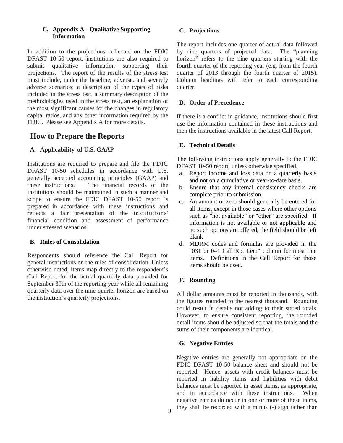# **C. Appendix A - Qualitative Supporting Information**

In addition to the projections collected on the FDIC DFAST 10-50 report, institutions are also required to submit qualitative information supporting their projections. The report of the results of the stress test must include, under the baseline, adverse, and severely adverse scenarios: a description of the types of risks included in the stress test, a summary description of the methodologies used in the stress test, an explanation of the most significant causes for the changes in regulatory capital ratios, and any other information required by the FDIC. Please see Appendix A for more details.

# **How to Prepare the Reports**

# **A. Applicability of U.S. GAAP**

Institutions are required to prepare and file the FDIC DFAST 10-50 schedules in accordance with U.S. generally accepted accounting principles (GAAP) and these instructions. The financial records of the institutions should be maintained in such a manner and scope to ensure the FDIC DFAST 10-50 report is prepared in accordance with these instructions and reflects a fair presentation of the institutions' financial condition and assessment of performance under stressed scenarios.

# **B. Rules of Consolidation**

Respondents should reference the Call Report for general instructions on the rules of consolidation. Unless otherwise noted, items map directly to the respondent's Call Report for the actual quarterly data provided for September 30th of the reporting year while all remaining quarterly data over the nine-quarter horizon are based on the institution's quarterly projections.

# **C. Projections**

The report includes one quarter of actual data followed by nine quarters of projected data. The "planning horizon" refers to the nine quarters starting with the fourth quarter of the reporting year (e.g. from the fourth quarter of 2013 through the fourth quarter of 2015). Column headings will refer to each corresponding quarter.

# **D. Order of Precedence**

If there is a conflict in guidance, institutions should first use the information contained in these instructions and then the instructions available in the latest Call Report.

# **E. Technical Details**

The following instructions apply generally to the FDIC DFAST 10-50 report, unless otherwise specified.

- a. Report income and loss data on a quarterly basis and not on a cumulative or year-to-date basis.
- b. Ensure that any internal consistency checks are complete prior to submission.
- c. An amount or zero should generally be entered for all items, except in those cases where other options such as "not available" or "other" are specified. If information is not available or not applicable and no such options are offered, the field should be left blank
- d. MDRM codes and formulas are provided in the "031 or 041 Call Rpt Item" column for most line items. Definitions in the Call Report for those items should be used.

# **F. Rounding**

All dollar amounts must be reported in thousands, with the figures rounded to the nearest thousand. Rounding could result in details not adding to their stated totals. However, to ensure consistent reporting, the rounded detail items should be adjusted so that the totals and the sums of their components are identical.

# **G. Negative Entries**

Negative entries are generally not appropriate on the FDIC DFAST 10-50 balance sheet and should not be reported. Hence, assets with credit balances must be reported in liability items and liabilities with debit balances must be reported in asset items, as appropriate, and in accordance with these instructions. When negative entries do occur in one or more of these items, they shall be recorded with a minus (-) sign rather than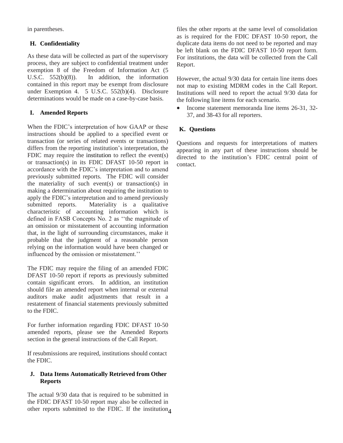in parentheses.

# **H. Confidentiality**

As these data will be collected as part of the supervisory process, they are subject to confidential treatment under exemption 8 of the Freedom of Information Act (5 U.S.C. 552(b)(8)). In addition, the information contained in this report may be exempt from disclosure under Exemption 4. 5 U.S.C. 552(b)(4). Disclosure determinations would be made on a case-by-case basis.

# **I. Amended Reports**

When the FDIC's interpretation of how GAAP or these instructions should be applied to a specified event or transaction (or series of related events or transactions) differs from the reporting institution's interpretation, the FDIC may require the institution to reflect the event(s) or transaction(s) in its FDIC DFAST 10-50 report in accordance with the FDIC's interpretation and to amend previously submitted reports. The FDIC will consider the materiality of such event(s) or transaction(s) in making a determination about requiring the institution to apply the FDIC's interpretation and to amend previously submitted reports. Materiality is a qualitative characteristic of accounting information which is defined in FASB Concepts No. 2 as ''the magnitude of an omission or misstatement of accounting information that, in the light of surrounding circumstances, make it probable that the judgment of a reasonable person relying on the information would have been changed or influenced by the omission or misstatement.''

The FDIC may require the filing of an amended FDIC DFAST 10-50 report if reports as previously submitted contain significant errors. In addition, an institution should file an amended report when internal or external auditors make audit adjustments that result in a restatement of financial statements previously submitted to the FDIC.

For further information regarding FDIC DFAST 10-50 amended reports, please see the Amended Reports section in the general instructions of the Call Report.

If resubmissions are required, institutions should contact the FDIC.

# **J. Data Items Automatically Retrieved from Other Reports**

other reports submitted to the FDIC. If the institution<sub>4</sub> The actual 9/30 data that is required to be submitted in the FDIC DFAST 10-50 report may also be collected in

files the other reports at the same level of consolidation as is required for the FDIC DFAST 10-50 report, the duplicate data items do not need to be reported and may be left blank on the FDIC DFAST 10-50 report form. For institutions, the data will be collected from the Call Report.

However, the actual 9/30 data for certain line items does not map to existing MDRM codes in the Call Report. Institutions will need to report the actual 9/30 data for the following line items for each scenario.

• Income statement memoranda line items 26-31, 32-37, and 38-43 for all reporters.

# **K. Questions**

Questions and requests for interpretations of matters appearing in any part of these instructions should be directed to the institution's FDIC central point of contact.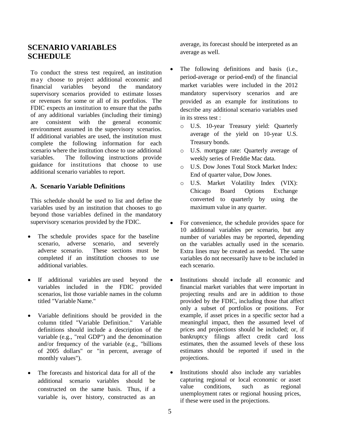# **SCENARIO VARIABLES SCHEDULE**

To conduct the stress test required, an institution m a y choose to project additional economic and financial variables beyond the mandatory supervisory scenarios provided to estimate losses or revenues for some or all of its portfolios. The FDIC expects an institution to ensure that the paths of any additional variables (including their timing) are consistent with the general economic environment assumed in the supervisory scenarios. If additional variables are used, the institution must complete the following information for each scenario where the institution chose to use additional variables. The following instructions provide guidance for institutions that choose to use additional scenario variables to report.

# **A. Scenario Variable Definitions**

This schedule should be used to list and define the variables used by an institution that chooses to go beyond those variables defined in the mandatory supervisory scenarios provided by the FDIC.

- The schedule provides space for the baseline scenario, adverse scenario, and severely adverse scenario. These sections must be completed if an institution chooses to use additional variables.
- If additional variables are used beyond the variables included in the FDIC provided scenarios, list those variable names in the column titled "Variable Name."
- Variable definitions should be provided in the column titled "Variable Definition." Variable definitions should include a description of the variable (e.g., "real GDP") and the denomination and/or frequency of the variable (e.g., "billions of 2005 dollars" or "in percent, average of monthly values").
- The forecasts and historical data for all of the additional scenario variables should be constructed on the same basis. Thus, if a variable is, over history, constructed as an

average, its forecast should be interpreted as an average as well.

- The following definitions and basis (i.e., period-average or period-end) of the financial market variables were included in the 2012 mandatory supervisory scenarios and are provided as an example for institutions to describe any additional scenario variables used in its stress test :
	- o U.S. 10-year Treasury yield: Quarterly average of the yield on 10-year U.S. Treasury bonds.
	- o U.S. mortgage rate: Quarterly average of weekly series of Freddie Mac data.
	- o U.S. Dow Jones Total Stock Market Index: End of quarter value, Dow Jones.
	- o U.S. Market Volatility Index (VIX): Chicago Board Options Exchange converted to quarterly by using the maximum value in any quarter.
- For convenience, the schedule provides space for 10 additional variables per scenario, but any number of variables may be reported, depending on the variables actually used in the scenario. Extra lines may be created as needed. The same variables do not necessarily have to be included in each scenario.
- Institutions should include all economic and financial market variables that were important in projecting results and are in addition to those provided by the FDIC, including those that affect only a subset of portfolios or positions. For example, if asset prices in a specific sector had a meaningful impact, then the assumed level of prices and projections should be included; or, if bankruptcy filings affect credit card loss estimates, then the assumed levels of these loss estimates should be reported if used in the projections.
- Institutions should also include any variables capturing regional or local economic or asset value conditions, such as regional unemployment rates or regional housing prices, if these were used in the projections.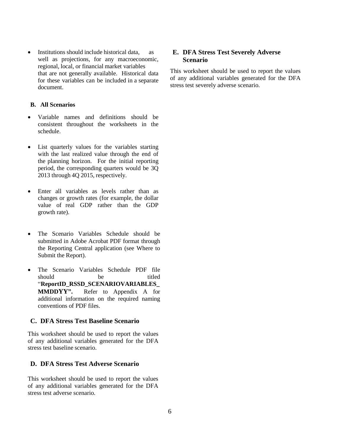• Institutions should include historical data, as well as projections, for any macroeconomic, regional, local, or financial market variables that are not generally available. Historical data for these variables can be included in a separate document.

# **B. All Scenarios**

- Variable names and definitions should be consistent throughout the worksheets in the schedule.
- List quarterly values for the variables starting with the last realized value through the end of the planning horizon. For the initial reporting period, the corresponding quarters would be 3Q 2013 through 4Q 2015, respectively.
- Enter all variables as levels rather than as changes or growth rates (for example, the dollar value of real GDP rather than the GDP growth rate).
- The Scenario Variables Schedule should be submitted in Adobe Acrobat PDF format through the Reporting Central application (see Where to Submit the Report).
- The Scenario Variables Schedule PDF file should be titled "**ReportID\_RSSD\_SCENARIOVARIABLES\_ MMDDYY".** Refer to Appendix A for additional information on the required naming conventions of PDF files.

# **C. DFA Stress Test Baseline Scenario**

This worksheet should be used to report the values of any additional variables generated for the DFA stress test baseline scenario.

# **D. DFA Stress Test Adverse Scenario**

This worksheet should be used to report the values of any additional variables generated for the DFA stress test adverse scenario.

# **E. DFA Stress Test Severely Adverse Scenario**

This worksheet should be used to report the values of any additional variables generated for the DFA stress test severely adverse scenario.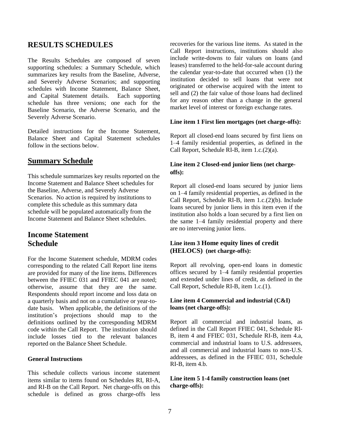# **RESULTS SCHEDULES**

The Results Schedules are composed of seven supporting schedules: a Summary Schedule, which summarizes key results from the Baseline, Adverse, and Severely Adverse Scenarios; and supporting schedules with Income Statement, Balance Sheet, and Capital Statement details. Each supporting schedule has three versions; one each for the Baseline Scenario, the Adverse Scenario, and the Severely Adverse Scenario.

Detailed instructions for the Income Statement, Balance Sheet and Capital Statement schedules follow in the sections below.

# **Summary Schedule**

This schedule summarizes key results reported on the Income Statement and Balance Sheet schedules for the Baseline, Adverse, and Severely Adverse Scenarios. No action is required by institutions to complete this schedule as this summary data schedule will be populated automatically from the Income Statement and Balance Sheet schedules.

# **Income Statement Schedule**

For the Income Statement schedule, MDRM codes corresponding to the related Call Report line items are provided for many of the line items. Differences between the FFIEC 031 and FFIEC 041 are noted; otherwise, assume that they are the same. Respondents should report income and loss data on a quarterly basis and not on a cumulative or year-todate basis. When applicable, the definitions of the institution's projections should map to the definitions outlined by the corresponding MDRM code within the Call Report. The institution should include losses tied to the relevant balances reported on the Balance Sheet Schedule.

#### **General Instructions**

This schedule collects various income statement items similar to items found on Schedules RI, RI-A, and RI-B on the Call Report. Net charge-offs on this schedule is defined as gross charge-offs less recoveries for the various line items. As stated in the Call Report instructions, institutions should also include write-downs to fair values on loans (and leases) transferred to the held-for-sale account during the calendar year-to-date that occurred when (1) the institution decided to sell loans that were not originated or otherwise acquired with the intent to sell and (2) the fair value of those loans had declined for any reason other than a change in the general market level of interest or foreign exchange rates.

#### **Line item 1 First lien mortgages (net charge-offs):**

Report all closed-end loans secured by first liens on 1–4 family residential properties, as defined in the Call Report, Schedule RI-B, item 1.c.(2)(a).

# **Line item 2 Closed-end junior liens (net chargeoffs):**

Report all closed-end loans secured by junior liens on 1–4 family residential properties, as defined in the Call Report, Schedule RI-B, item 1.c.(2)(b). Include loans secured by junior liens in this item even if the institution also holds a loan secured by a first lien on the same 1–4 family residential property and there are no intervening junior liens.

# **Line item 3 Home equity lines of credit (HELOCS) (net charge-offs):**

Report all revolving, open-end loans in domestic offices secured by 1–4 family residential properties and extended under lines of credit, as defined in the Call Report, Schedule RI-B, item 1.c.(1).

# **Line item 4 Commercial and industrial (C&I) loans (net charge-offs):**

Report all commercial and industrial loans, as defined in the Call Report FFIEC 041, Schedule RI-B, item 4 and FFIEC 031, Schedule RI-B, item 4.a, commercial and industrial loans to U.S. addressees, and all commercial and industrial loans to non-U.S. addressees, as defined in the FFIEC 031, Schedule RI-B, item 4.b.

# **Line item 5 1-4 family construction loans (net charge-offs):**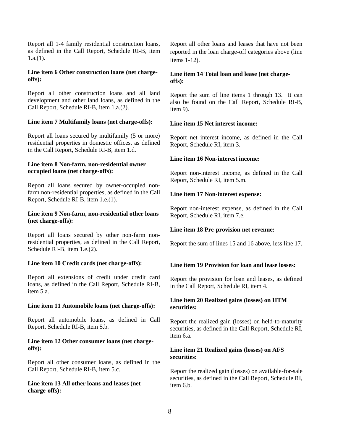Report all 1-4 family residential construction loans, as defined in the Call Report, Schedule RI-B, item  $1.a.(1)$ .

# **Line item 6 Other construction loans (net chargeoffs):**

Report all other construction loans and all land development and other land loans, as defined in the Call Report, Schedule RI-B, item 1.a.(2).

# **Line item 7 Multifamily loans (net charge-offs):**

Report all loans secured by multifamily (5 or more) residential properties in domestic offices, as defined in the Call Report, Schedule RI-B, item 1.d.

# **Line item 8 Non-farm, non-residential owner occupied loans (net charge-offs):**

Report all loans secured by owner-occupied nonfarm non-residential properties, as defined in the Call Report, Schedule RI-B, item 1.e.(1).

# **Line item 9 Non-farm, non-residential other loans (net charge-offs):**

Report all loans secured by other non-farm nonresidential properties, as defined in the Call Report, Schedule RI-B, item 1.e.(2).

#### **Line item 10 Credit cards (net charge-offs):**

Report all extensions of credit under credit card loans, as defined in the Call Report, Schedule RI-B, item 5.a.

#### **Line item 11 Automobile loans (net charge-offs):**

Report all automobile loans, as defined in Call Report, Schedule RI-B, item 5.b.

# **Line item 12 Other consumer loans (net chargeoffs):**

Report all other consumer loans, as defined in the Call Report, Schedule RI-B, item 5.c.

# **Line item 13 All other loans and leases (net charge-offs):**

Report all other loans and leases that have not been reported in the loan charge-off categories above (line items 1-12).

# **Line item 14 Total loan and lease (net chargeoffs):**

Report the sum of line items 1 through 13. It can also be found on the Call Report, Schedule RI-B, item 9).

# **Line item 15 Net interest income:**

Report net interest income, as defined in the Call Report, Schedule RI, item 3.

# **Line item 16 Non-interest income:**

Report non-interest income, as defined in the Call Report, Schedule RI, item 5.m.

# **Line item 17 Non-interest expense:**

Report non-interest expense, as defined in the Call Report, Schedule RI, item 7.e.

# **Line item 18 Pre-provision net revenue:**

Report the sum of lines 15 and 16 above, less line 17.

# **Line item 19 Provision for loan and lease losses:**

Report the provision for loan and leases, as defined in the Call Report, Schedule RI, item 4.

# **Line item 20 Realized gains (losses) on HTM securities:**

Report the realized gain (losses) on held-to-maturity securities, as defined in the Call Report, Schedule RI, item 6.a.

# **Line item 21 Realized gains (losses) on AFS securities:**

Report the realized gain (losses) on available-for-sale securities, as defined in the Call Report, Schedule RI, item 6.b.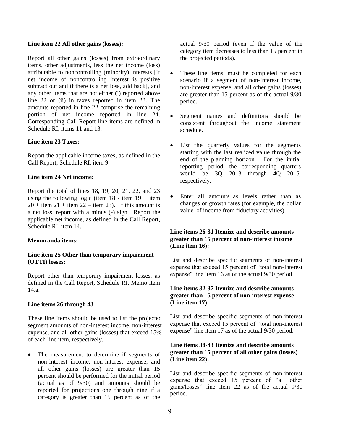#### **Line item 22 All other gains (losses):**

Report all other gains (losses) from extraordinary items, other adjustments, less the net income (loss) attributable to noncontrolling (minority) interests [if net income of noncontrolling interest is positive subtract out and if there is a net loss, add back], and any other items that are not either (i) reported above line 22 or (ii) in taxes reported in item 23. The amounts reported in line 22 comprise the remaining portion of net income reported in line 24. Corresponding Call Report line items are defined in Schedule RI, items 11 and 13.

# **Line item 23 Taxes:**

Report the applicable income taxes, as defined in the Call Report, Schedule RI, item 9.

#### **Line item 24 Net income:**

Report the total of lines 18, 19, 20, 21, 22, and 23 using the following logic (item  $18$  - item  $19 +$  item  $20 +$  item  $21 +$  item  $22 -$  item 23). If this amount is a net loss, report with a minus (-) sign. Report the applicable net income, as defined in the Call Report, Schedule RI, item 14.

#### **Memoranda items:**

# **Line item 25 Other than temporary impairment (OTTI) losses:**

Report other than temporary impairment losses, as defined in the Call Report, Schedule RI, Memo item 14.a.

# **Line items 26 through 43**

These line items should be used to list the projected segment amounts of non-interest income, non-interest expense, and all other gains (losses) that exceed 15% of each line item, respectively.

• The measurement to determine if segments of non-interest income, non-interest expense, and all other gains (losses) are greater than 15 percent should be performed for the initial period (actual as of 9/30) and amounts should be reported for projections one through nine if a category is greater than 15 percent as of the actual 9/30 period (even if the value of the category item decreases to less than 15 percent in the projected periods).

- These line items must be completed for each scenario if a segment of non-interest income, non-interest expense, and all other gains (losses) are greater than 15 percent as of the actual 9/30 period.
- Segment names and definitions should be consistent throughout the income statement schedule.
- List the quarterly values for the segments starting with the last realized value through the end of the planning horizon. For the initial reporting period, the corresponding quarters would be 3Q 2013 through 4Q 2015, respectively.
- Enter all amounts as levels rather than as changes or growth rates (for example, the dollar value of income from fiduciary activities).

# **Line items 26-31 Itemize and describe amounts greater than 15 percent of non-interest income (Line item 16):**

List and describe specific segments of non-interest expense that exceed 15 percent of "total non-interest expense" line item 16 as of the actual 9/30 period.

# **Line items 32-37 Itemize and describe amounts greater than 15 percent of non-interest expense (Line item 17):**

List and describe specific segments of non-interest expense that exceed 15 percent of "total non-interest expense" line item 17 as of the actual 9/30 period.

# **Line items 38-43 Itemize and describe amounts greater than 15 percent of all other gains (losses) (Line item 22):**

List and describe specific segments of non-interest expense that exceed 15 percent of "all other gains/losses" line item 22 as of the actual 9/30 period.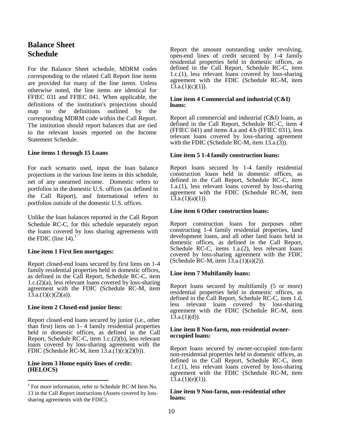# **Balance Sheet Schedule**

For the Balance Sheet schedule, MDRM codes corresponding to the related Call Report line items are provided for many of the line items. Unless otherwise noted, the line items are identical for FFIEC 031 and FFIEC 041. When applicable, the definitions of the institution's projections should map to the definitions outlined by the corresponding MDRM code within the Call Report. The institution should report balances that are tied to the relevant losses reported on the Income Statement Schedule.

#### **Line items 1 through 15 Loans**

For each scenario used, input the loan balance projections in the various line items in this schedule, net of any unearned income. Domestic refers to portfolios in the domestic U.S. offices (as defined in the Call Report), and International refers to portfolios outside of the domestic U.S. offices.

Unlike the loan balances reported in the Call Report Schedule RC-C, for this schedule separately report the loans covered by loss sharing agreements with the FDIC (line  $14$ ).<sup>1</sup>

#### **Line item 1 First lien mortgages:**

Report closed-end loans secured by first liens on 1-4 family residential properties held in domestic offices, as defined in the Call Report, Schedule RC-C, item 1.c.(2)(a), less relevant loans covered by loss-sharing agreement with the FDIC (Schedule RC-M, item  $13.a.(1)(c)(2)(a)).$ 

#### **Line item 2 Closed-end junior liens:**

Report closed-end loans secured by junior (i.e., other than first) liens on 1- 4 family residential properties held in domestic offices, as defined in the Call Report, Schedule RC-C, item 1.c.(2)(b), less relevant loans covered by loss-sharing agreement with the FDIC (Schedule RC-M, item  $13.a.(1)(c)(2)(b)$ ).

#### **Line item 3 Home equity lines of credit: (HELOCS)**

 $\overline{\phantom{a}}$ 

Report the amount outstanding under revolving, open-end lines of credit secured by 1-4 family residential properties held in domestic offices, as defined in the Call Report, Schedule RC-C, item 1.c.(1), less relevant loans covered by loss-sharing agreement with the FDIC (Schedule RC-M, item  $13.a.(1)(c)(1)$ ).

#### **Line item 4 Commercial and industrial (C&I) loans:**

Report all commercial and industrial (C&I) loans, as defined in the Call Report, Schedule RC-C, item 4 (FFIEC 041) and items 4.a and 4.b (FFIEC 031), less relevant loans covered by loss-sharing agreement with the FDIC (Schedule RC-M, item  $13.\overline{a}$ . $(3)$ ).

#### **Line item 5 1-4 family construction loans:**

Report loans secured by 1-4 family residential construction loans held in domestic offices, as defined in the Call Report, Schedule RC-C, item 1.a.(1), less relevant loans covered by loss-sharing agreement with the FDIC (Schedule RC-M, item  $1\overline{3}$ .a. $(1)(a)(1)$ ).

#### **Line item 6 Other construction loans:**

Report construction loans for purposes other constructing 1-4 family residential properties, land development loans, and all other land loans held in domestic offices, as defined in the Call Report, Schedule RC-C, items 1.a.(2), less relevant loans covered by loss-sharing agreement with the FDIC (Schedule RC-M, item  $13.a.(1)(a)(2)$ ).

#### **Line item 7 Multifamily loans:**

Report loans secured by multifamily (5 or more) residential properties held in domestic offices, as defined in the Call Report, Schedule RC-C, item 1.d, less relevant loans covered by loss-sharing agreement with the FDIC (Schedule RC-M, item  $13.a.(1)(d)$ ).

#### **Line item 8 Non-farm, non-residential owneroccupied loans:**

Report loans secured by owner-occupied non-farm non-residential properties held in domestic offices, as defined in the Call Report, Schedule RC-C, item 1.e.(1), less relevant loans covered by loss-sharing agreement with the FDIC (Schedule RC-M, item  $13.a.(1)(e)(1)$ ).

#### **Line item 9 Non-farm, non-residential other loans:**

<sup>&</sup>lt;sup>1</sup> For more information, refer to Schedule RC-M Item No. 13 in the Call Report instructions (Assets covered by losssharing agreements with the FDIC).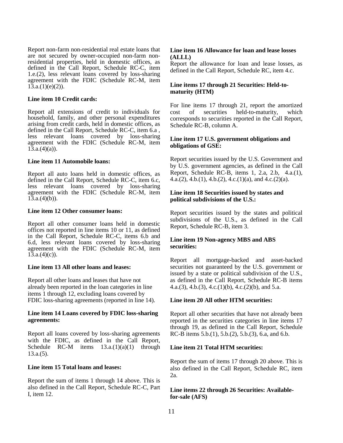Report non-farm non-residential real estate loans that are not secured by owner-occupied non-farm nonresidential properties, held in domestic offices, as defined in the Call Report, Schedule RC-C, item 1.e.(2), less relevant loans covered by loss-sharing agreement with the FDIC (Schedule RC-M, item  $13.a.(1)(e)(2)$ ).

#### **Line item 10 Credit cards:**

Report all extensions of credit to individuals for household, family, and other personal expenditures arising from credit cards, held in domestic offices, as defined in the Call Report, Schedule RC-C, item 6.a , less relevant loans covered by loss-sharing agreement with the FDIC (Schedule RC-M, item  $13.a.(4)(a)$ .

#### **Line item 11 Automobile loans:**

Report all auto loans held in domestic offices, as defined in the Call Report, Schedule RC-C, item 6.c, less relevant loans covered by loss-sharing agreement with the FDIC (Schedule RC-M, item  $13.a.(4)(b)$ .

#### **Line item 12 Other consumer loans:**

Report all other consumer loans held in domestic offices not reported in line items 10 or 11, as defined in the Call Report, Schedule RC-C, items 6.b and 6.d, less relevant loans covered by loss-sharing agreement with the FDIC (Schedule RC-M, item  $1\bar{3}$ .a. $(4)(c)$ ).

#### **Line item 13 All other loans and leases:**

Report all other loans and leases that have not already been reported in the loan categories in line items 1 through 12, excluding loans covered by FDIC loss-sharing agreements (reported in line 14).

#### **Line item 14 Loans covered by FDIC loss-sharing agreements:**

Report all loans covered by loss-sharing agreements with the FDIC, as defined in the Call Report, Schedule RC-M items  $13.a.(1)(a)(1)$  through  $13.a.(5)$ .

# **Line item 15 Total loans and leases:**

Report the sum of items 1 through 14 above. This is also defined in the Call Report, Schedule RC-C, Part I, item 12.

#### **Line item 16 Allowance for loan and lease losses (ALLL)**

Report the allowance for loan and lease losses, as defined in the Call Report, Schedule RC, item 4.c.

#### **Line items 17 through 21 Securities: Held-tomaturity (HTM)**

For line items 17 through 21, report the amortized cost of securities held-to-maturity, which corresponds to securities reported in the Call Report, Schedule RC-B, column A.

#### **Line item 17 U.S. government obligations and obligations of GSE:**

Report securities issued by the U.S. Government and by U.S. government agencies, as defined in the Call Report, Schedule RC-B, items 1, 2.a, 2.b, 4.a.(1), 4.a.(2), 4.b.(1), 4.b.(2), 4.c.(1)(a), and 4.c.(2)(a).

#### **Line item 18 Securities issued by states and political subdivisions of the U.S.:**

Report securities issued by the states and political subdivisions of the U.S., as defined in the Call Report, Schedule RC-B, item 3.

# **Line item 19 Non-agency MBS and ABS securities:**

Report all mortgage-backed and asset-backed securities not guaranteed by the U.S. government or issued by a state or political subdivision of the U.S., as defined in the Call Report, Schedule RC-B items 4.a.(3), 4.b.(3), 4.c.(1)(b), 4.c.(2)(b), and 5.a.

#### **Line item 20 All other HTM securities:**

Report all other securities that have not already been reported in the securities categories in line items 17 through 19, as defined in the Call Report, Schedule RC-B items 5.b.(1), 5.b.(2), 5.b.(3), 6.a, and 6.b.

## **Line item 21 Total HTM securities:**

Report the sum of items 17 through 20 above. This is also defined in the Call Report, Schedule RC, item 2a.

#### **Line items 22 through 26 Securities: Availablefor-sale (AFS)**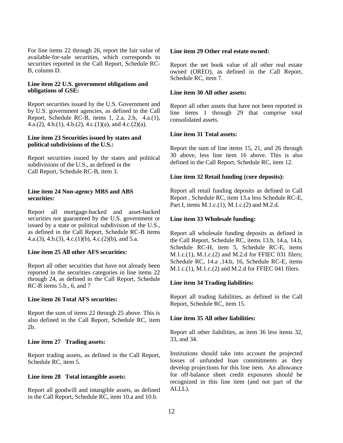For line items 22 through 26, report the fair value of available-for-sale securities, which corresponds to securities reported in the Call Report, Schedule RC-B, column D.

#### **Line item 22 U.S. government obligations and obligations of GSE:**

Report securities issued by the U.S. Government and by U.S. government agencies, as defined in the Call Report, Schedule RC-B, items 1, 2.a, 2.b, 4.a.(1), 4.a.(2), 4.b.(1), 4.b.(2), 4.c.(1)(a), and 4.c.(2)(a).

#### **Line item 23 Securities issued by states and political subdivisions of the U.S.:**

Report securities issued by the states and political subdivisions of the U.S., as defined in the Call Report, Schedule RC-B, item 3.

#### **Line item 24 Non-agency MBS and ABS securities:**

Report all mortgage-backed and asset-backed securities not guaranteed by the U.S. government or issued by a state or political subdivision of the U.S., as defined in the Call Report, Schedule RC-B items 4.a.(3), 4.b.(3), 4.c.(1)(b), 4.c.(2)(b), and 5.a.

#### **Line item 25 All other AFS securities:**

Report all other securities that have not already been reported in the securities categories in line items 22 through 24, as defined in the Call Report, Schedule RC-B items 5.b., 6, and 7

# **Line item 26 Total AFS securities:**

Report the sum of items 22 through 25 above. This is also defined in the Call Report, Schedule RC, item 2b.

# **Line item 27 Trading assets:**

Report trading assets, as defined in the Call Report, Schedule RC, item 5.

#### **Line item 28 Total intangible assets:**

Report all goodwill and intangible assets, as defined in the Call Report, Schedule RC, item 10.a and 10.b.

#### **Line item 29 Other real estate owned:**

Report the net book value of all other real estate owned (OREO), as defined in the Call Report, Schedule RC, item 7.

# **Line item 30 All other assets:**

Report all other assets that have not been reported in line items 1 through 29 that comprise total consolidated assets.

# **Line item 31 Total assets:**

Report the sum of line items 15, 21, and 26 through 30 above, less line item 16 above. This is also defined in the Call Report, Schedule RC, item 12.

# **Line item 32 Retail funding (core deposits):**

Report all retail funding deposits as defined in Call Report , Schedule RC, item 13.a less Schedule RC-E, Part I, items M.1.c.(1), M.1.c.(2) and M.2.d.

# **Line item 33 Wholesale funding:**

Report all wholesale funding deposits as defined in the Call Report, Schedule RC, items 13.b, 14.a, 14.b, Schedule RC-H, item 5, Schedule RC-E, items M.1.c.(1), M.1.c.(2) and M.2.d for FFIEC 031 filers; Schedule RC, 14.a ,14.b, 16, Schedule RC-E, items M.1.c.(1), M.1.c.(2) and M.2.d for FFIEC 041 filers.

# **Line item 34 Trading liabilities:**

Report all trading liabilities, as defined in the Call Report, Schedule RC, item 15.

# **Line item 35 All other liabilities:**

Report all other liabilities, as item 36 less items 32, 33, and 34.

Institutions should take into account the projected losses of unfunded loan commitments as they develop projections for this line item. An allowance for off-balance sheet credit exposures should be recognized in this line item (and not part of the ALLL).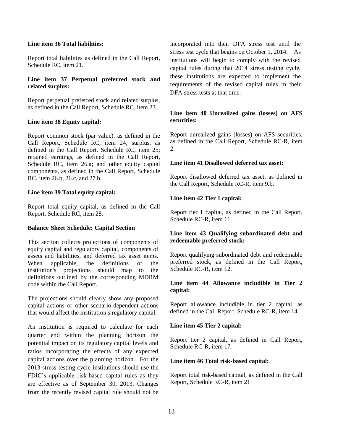# **Line item 36 Total liabilities:**

Report total liabilities as defined in the Call Report, Schedule RC, item 21.

# **Line item 37 Perpetual preferred stock and related surplus:**

Report perpetual preferred stock and related surplus, as defined in the Call Report, Schedule RC, item 23.

# **Line item 38 Equity capital:**

Report common stock (par value), as defined in the Call Report, Schedule RC, item 24; surplus, as defined in the Call Report, Schedule RC, item 25; retained earnings, as defined in the Call Report, Schedule RC, item 26.a; and other equity capital components, as defined in the Call Report, Schedule RC, item 26.b, 26.c, and 27.b.

# **Line item 39 Total equity capital:**

Report total equity capital, as defined in the Call Report, Schedule RC, item 28.

# **Balance Sheet Schedule: Capital Section**

This section collects projections of components of equity capital and regulatory capital, components of assets and liabilities, and deferred tax asset items. When applicable, the definitions of the institution's projections should map to the definitions outlined by the corresponding MDRM code within the Call Report.

The projections should clearly show any proposed capital actions or other scenario-dependent actions that would affect the institution's regulatory capital.

An institution is required to calculate for each quarter end within the planning horizon the potential impact on its regulatory capital levels and ratios incorporating the effects of any expected capital actions over the planning horizon. For the 2013 stress testing cycle institutions should use the FDIC's applicable risk-based capital rules as they are effective as of September 30, 2013. Changes from the recently revised capital rule should not be incorporated into their DFA stress test until the stress test cycle that begins on October 1, 2014. As institutions will begin to comply with the revised capital rules during that 2014 stress testing cycle, these institutions are expected to implement the requirements of the revised capital rules in their DFA stress tests at that time.

# **Line item 40 Unrealized gains (losses) on AFS securities:**

Report unrealized gains (losses) on AFS securities, as defined in the Call Report, Schedule RC-R, item 2.

# **Line item 41 Disallowed deferred tax asset:**

Report disallowed deferred tax asset, as defined in the Call Report, Schedule RC-R, item 9.b.

# **Line item 42 Tier 1 capital:**

Report tier 1 capital, as defined in the Call Report, Schedule RC-R, item 11.

# **Line item 43 Qualifying subordinated debt and redeemable preferred stock:**

Report qualifying subordinated debt and redeemable preferred stock, as defined in the Call Report, Schedule RC-R, item 12.

# **Line item 44 Allowance includible in Tier 2 capital:**

Report allowance includible in tier 2 capital, as defined in the Call Report, Schedule RC-R, item 14.

# **Line item 45 Tier 2 capital:**

Report tier 2 capital, as defined in Call Report, Schedule RC-R, item 17.

# **Line item 46 Total risk-based capital:**

Report total risk-based capital, as defined in the Call Report, Schedule RC-R, item 21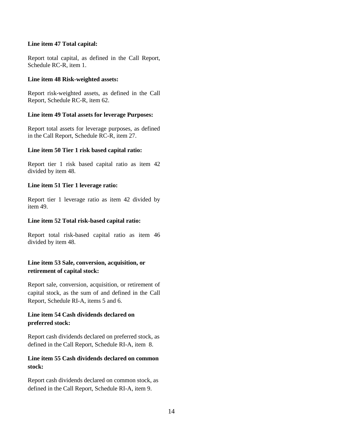# **Line item 47 Total capital:**

Report total capital, as defined in the Call Report, Schedule RC-R, item 1.

#### **Line item 48 Risk-weighted assets:**

Report risk-weighted assets, as defined in the Call Report, Schedule RC-R, item 62.

# **Line item 49 Total assets for leverage Purposes:**

Report total assets for leverage purposes, as defined in the Call Report, Schedule RC-R, item 27.

# **Line item 50 Tier 1 risk based capital ratio:**

Report tier 1 risk based capital ratio as item 42 divided by item 48.

# **Line item 51 Tier 1 leverage ratio:**

Report tier 1 leverage ratio as item 42 divided by item 49.

# **Line item 52 Total risk-based capital ratio:**

Report total risk-based capital ratio as item 46 divided by item 48.

# **Line item 53 Sale, conversion, acquisition, or retirement of capital stock:**

Report sale, conversion, acquisition, or retirement of capital stock, as the sum of and defined in the Call Report, Schedule RI-A, items 5 and 6.

# **Line item 54 Cash dividends declared on preferred stock:**

Report cash dividends declared on preferred stock, as defined in the Call Report, Schedule RI-A, item 8.

# **Line item 55 Cash dividends declared on common stock:**

Report cash dividends declared on common stock, as defined in the Call Report, Schedule RI-A, item 9.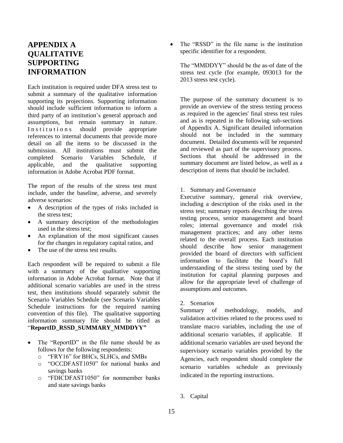# **APPENDIX A QUALITATIVE SUPPORTING INFORMATION**

Each institution is required under DFA stress test to submit a summary of the qualitative information supporting its projections. Supporting information should include sufficient information to inform a third party of an institution's general approach and assumptions, but remain summary in nature. In stitutions should provide appropriate references to internal documents that provide more detail on all the items to be discussed in the submission. All institutions must submit the completed Scenario Variables Schedule, if applicable, and the qualitative supporting information in Adobe Acrobat PDF format.

The report of the results of the stress test must include, under the baseline, adverse, and severely adverse scenarios:

- A description of the types of risks included in the stress test;
- A summary description of the methodologies used in the stress test;
- An explanation of the most significant causes for the changes in regulatory capital ratios, and
- The use of the stress test results.

Each respondent will be required to submit a file with a summary of the qualitative supporting information in Adobe Acrobat format. Note that if additional scenario variables are used in the stress test, then institutions should separately submit the Scenario Variables Schedule (see Scenario Variables Schedule instructions for the required naming convention of this file). The qualitative supporting information summary file should be titled as "**ReportID\_RSSD\_SUMMARY\_MMDDYY"**

- The "ReportID" in the file name should be as follows for the following respondents:
	- o "FRY16" for BHCs, SLHCs, and SMBs
	- o "OCCDFAST1050" for national banks and savings banks
	- o "FDICDFAST1050" for nonmember banks and state savings banks

• The "RSSD" in the file name is the institution specific identifier for a respondent.

The "MMDDYY" should be the as-of date of the stress test cycle (for example, 093013 for the 2013 stress test cycle).

The purpose of the summary document is to provide an overview of the stress testing process as required in the agencies' final stress test rules and as is repeated in the following sub-sections of Appendix A. Significant detailed information should not be included in the summary document. Detailed documents will be requested and reviewed as part of the supervisory process. Sections that should be addressed in the summary document are listed below, as well as a description of items that should be included.

1. Summary and Governance

Executive summary, general risk overview, including a description of the risks used in the stress test; summary reports describing the stress testing process, senior management and board roles; internal governance and model risk management practices; and any other items related to the overall process. Each institution should describe how senior management provided the board of directors with sufficient information to facilitate the board's full understanding of the stress testing used by the institution for capital planning purposes and allow for the appropriate level of challenge of assumptions and outcomes.

2. Scenarios

Summary of methodology, models, and validation activities related to the process used to translate macro variables, including the use of additional scenario variables, if applicable. If additional scenario variables are used beyond the supervisory scenario variables provided by the Agencies, each respondent should complete the scenario variables schedule as previously indicated in the reporting instructions.

3. Capital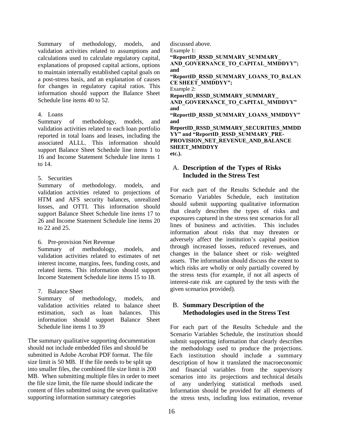Summary of methodology, models, and validation activities related to assumptions and calculations used to calculate regulatory capital, explanations of proposed capital actions, options to maintain internally established capital goals on a post-stress basis, and an explanation of causes for changes in regulatory capital ratios. This information should support the Balance Sheet Schedule line items 40 to 52.

# 4. Loans

Summary of methodology, models, and validation activities related to each loan portfolio reported in total loans and leases, including the associated ALLL. This information should support Balance Sheet Schedule line items 1 to 16 and Income Statement Schedule line items 1 to 14.

#### 5. Securities

Summary of methodology. models, and validation activities related to projections of HTM and AFS security balances, unrealized losses, and OTTI. This information should support Balance Sheet Schedule line items 17 to 26 and Income Statement Schedule line items 20 to 22 and 25.

6. Pre-provision Net Revenue

Summary of methodology, models, and validation activities related to estimates of net interest income, margins, fees, funding costs, and related items. This information should support Income Statement Schedule line items 15 to 18.

7. Balance Sheet

Summary of methodology, models, and validation activities related to balance sheet estimation, such as loan balances. This information should support Balance Sheet Schedule line items 1 to 39

The summary qualitative supporting documentation should not include embedded files and should be submitted in Adobe Acrobat PDF format. The file size limit is 50 MB. If the file needs to be split up into smaller files, the combined file size limit is 200 MB. When submitting multiple files in order to meet the file size limit, the file name should indicate the content of files submitted using the seven qualitative supporting information summary categories

discussed above.

Example 1:

**"ReportID\_RSSD\_SUMMARY\_SUMMARY\_ AND\_GOVERNANCE\_TO\_CAPITAL\_MMDDYY"; and "ReportID\_RSSD\_SUMMARY\_LOANS\_TO\_BALAN CE SHEET\_MMDDYY";** Example 2: **ReportID\_RSSD\_SUMMARY\_SUMMARY\_ AND\_GOVERNANCE\_TO\_CAPITAL\_MMDDYY" and "ReportID\_RSSD\_SUMMARY\_LOANS\_MMDDYY" and ReportID\_RSSD\_SUMMARY\_SECURITIES\_MMDD** YY" and "ReportID\_RSSD\_SUMMARY\_PRE-**PROVISION\_NET\_REVENUE\_AND\_BALANCE SHEET\_MMDDYY etc.).**

# A. **Description of the Types of Risks Included in the Stress Test**

For each part of the Results Schedule and the Scenario Variables Schedule, each institution should submit supporting qualitative information that clearly describes the types of risks and exposures captured in the stress test scenarios for all lines of business and activities. This includes information about risks that may threaten or adversely affect the institution's capital position through increased losses, reduced revenues, and changes in the balance sheet or risk- weighted assets. The information should discuss the extent to which risks are wholly or only partially covered by the stress tests (for example, if not all aspects of interest-rate risk are captured by the tests with the given scenarios provided).

# B. **Summary Description of the Methodologies used in the Stress Test**

For each part of the Results Schedule and the Scenario Variables Schedule, the institution should submit supporting information that clearly describes the methodology used to produce the projections. Each institution should include a summary description of how it translated the macroeconomic and financial variables from the supervisory scenarios into its projections and technical details of any underlying statistical methods used. Information should be provided for all elements of the stress tests, including loss estimation, revenue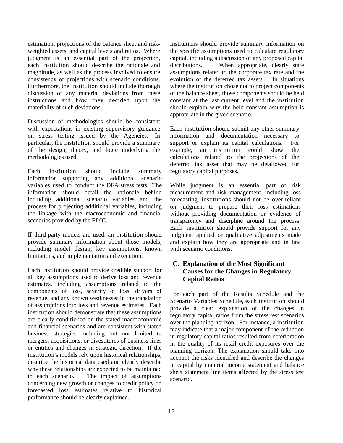estimation, projections of the balance sheet and riskweighted assets, and capital levels and ratios. Where judgment is an essential part of the projection, each institution should describe the rationale and magnitude, as well as the process involved to ensure consistency of projections with scenario conditions. Furthermore, the institution should include thorough discussion of any material deviations from these instructions and how they decided upon the materiality of such deviations.

Discussion of methodologies should be consistent with expectations in existing supervisory guidance on stress testing issued by the Agencies. In particular, the institution should provide a summary of the design, theory, and logic underlying the methodologies used.

Each institution should include summary information supporting any additional scenario variables used to conduct the DFA stress tests. The information should detail the rationale behind including additional scenario variables and the process for projecting additional variables, including the linkage with the macroeconomic and financial scenarios provided by the FDIC.

If third-party models are used, an institution should provide summary information about those models, including model design, key assumptions, known limitations, and implementation and execution.

Each institution should provide credible support for all key assumptions used to derive loss and revenue estimates, including assumptions related to the components of loss, severity of loss, drivers of revenue, and any known weaknesses in the translation of assumptions into loss and revenue estimates. Each institution should demonstrate that these assumptions are clearly conditioned on the stated macroeconomic and financial scenarios and are consistent with stated business strategies including but not limited to mergers, acquisitions, or divestitures of business lines or entities and changes in strategic direction. If the institution's models rely upon historical relationships, describe the historical data used and clearly describe why these relationships are expected to be maintained in each scenario. The impact of assumptions concerning new growth or changes to credit policy on forecasted loss estimates relative to historical performance should be clearly explained.

Institutions should provide summary information on the specific assumptions used to calculate regulatory capital, including a discussion of any proposed capital distributions. When appropriate, clearly state assumptions related to the corporate tax rate and the evolution of the deferred tax assets. In situations where the institution chose not to project components of the balance sheet, those components should be held constant at the last current level and the institution should explain why the held constant assumption is appropriate in the given scenario.

Each institution should submit any other summary information and documentation necessary to support or explain its capital calculations. For example, an institution could show the calculations related to the projections of the deferred tax asset that may be disallowed for regulatory capital purposes.

While judgment is an essential part of risk measurement and risk management, including loss forecasting, institutions should not be over-reliant on judgment to prepare their loss estimations without providing documentation or evidence of transparency and discipline around the process. Each institution should provide support for any judgment applied or qualitative adjustments made and explain how they are appropriate and in line with scenario conditions.

# **C. Explanation of the Most Significant Causes for the Changes in Regulatory Capital Ratios**

For each part of the Results Schedule and the Scenario Variables Schedule, each institution should provide a clear explanation of the changes in regulatory capital ratios from the stress test scenarios over the planning horizon. For instance, a institution may indicate that a major component of the reduction in regulatory capital ratios resulted from deterioration in the quality of its retail credit exposures over the planning horizon. The explanation should take into account the risks identified and describe the changes in capital by material income statement and balance sheet statement line items affected by the stress test scenario.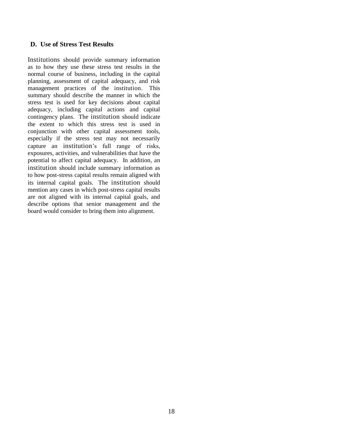# **D. Use of Stress Test Results**

Institutions should provide summary information as to how they use these stress test results in the normal course of business, including in the capital planning, assessment of capital adequacy, and risk management practices of the institution. This summary should describe the manner in which the stress test is used for key decisions about capital adequacy, including capital actions and capital contingency plans. The institution should indicate the extent to which this stress test is used in conjunction with other capital assessment tools, especially if the stress test may not necessarily capture an institution's full range of risks, exposures, activities, and vulnerabilities that have the potential to affect capital adequacy. In addition, an institution should include summary information as to how post-stress capital results remain aligned with its internal capital goals. The institution should mention any cases in which post-stress capital results are not aligned with its internal capital goals, and describe options that senior management and the board would consider to bring them into alignment.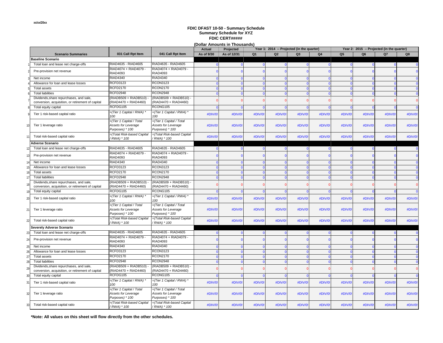**(Dollar Amounts in Thousands)**

|  |                                                                                              |                                                                   | <b>Actual</b>                                                      | Projected                   |             |                | Year 1: 2014 -- Projected (in the quarter) |                | Year 2: 2015 -- Projected (in the quarter) |                |                |                |                 |
|--|----------------------------------------------------------------------------------------------|-------------------------------------------------------------------|--------------------------------------------------------------------|-----------------------------|-------------|----------------|--------------------------------------------|----------------|--------------------------------------------|----------------|----------------|----------------|-----------------|
|  | <b>Scenario Summaries</b>                                                                    | 031 Call Rpt Item                                                 | 041 Call Rpt Item                                                  | As of 9/30                  | As of 12/31 | Q <sub>1</sub> | Q <sub>2</sub>                             | O <sub>3</sub> | Q <sub>4</sub>                             | Q <sub>5</sub> | Q <sub>6</sub> | Q <sub>7</sub> | Q8              |
|  | Baseline Scenario                                                                            |                                                                   |                                                                    |                             |             |                |                                            |                |                                            |                |                |                |                 |
|  | Total loan and lease net charge-offs                                                         | RIAD4635 - RIAD4605                                               | RIAD4635 - RIAD4605                                                |                             | $\Omega$    |                |                                            | $\Omega$       |                                            |                |                |                |                 |
|  | Pre-provision net revenue                                                                    | RIAD4074 + RIAD4079 -<br>RIAD4093                                 | RIAD4074 + RIAD4079 -<br><b>RIAD4093</b>                           |                             |             |                |                                            |                |                                            |                |                |                |                 |
|  | Net income                                                                                   | RIAD4340                                                          | RIAD4340                                                           |                             |             |                |                                            |                |                                            |                | $\Omega$       |                |                 |
|  | Allowance for loan and lease losses                                                          | <b>RCFD3123</b>                                                   | <b>RCON3123</b>                                                    | $\epsilon$                  | $\Omega$    |                |                                            | $\Omega$       |                                            |                | $\Omega$       |                | $\Omega$        |
|  | Total assets                                                                                 | <b>RCFD2170</b>                                                   | <b>RCON2170</b>                                                    | $\mathcal{C}_{\mathcal{C}}$ | $\sqrt{ }$  |                |                                            | $\Omega$       |                                            |                | $\Omega$       |                | $\Omega$        |
|  | <b>Total liabilities</b>                                                                     | RCFD2948                                                          | <b>RCON2948</b>                                                    |                             |             |                |                                            |                |                                            |                |                |                |                 |
|  | Dividends, share repurchases, and sale,<br>conversion, acquisition, or retirement of capital | (RIADB509 + RIADB510)<br>(RIAD4470 + RIAD4460)                    | (RIADB509 + RIADB510)<br>RIAD4470 + RIAD4460)                      |                             |             |                |                                            |                |                                            |                | $\sqrt{ }$     |                |                 |
|  | Total equity capital                                                                         | RCFDG105                                                          | RCONG105                                                           |                             |             |                |                                            |                |                                            |                |                |                |                 |
|  | Tier 1 risk-based capital ratio                                                              | =(Tier 1 Capital / RWA) *<br>100                                  | =(Tier 1 Capital / RWA) *<br>100                                   | #DIV/0!                     | #DIV/0      | #DIV/0!        | #DIV/0!                                    | #DIV/0!        | #DIV/0!                                    | #DIV/0         | #DIV/0!        | #DIV/0!        | #DIV/0          |
|  | Tier 1 leverage ratio                                                                        | (Tier 1 Capital / Total<br>Assets for Leverage<br>Purposes) * 100 | (Tier 1 Capital / Total<br>Assets for Leverage<br>Purposes) * 100  | #DIV/0!                     | #DIV/0!     | #DIV/0!        | #DIV/0!                                    | #DIV/0!        | #DIV/0!                                    | #DIV/0         | #DIV/0!        | #DIV/0!        | #DIV/0          |
|  | Total risk-based capital ratio                                                               | -(Total Risk-based Capital<br>(RWA) * 100                         | =(Total Risk-based Capital<br>/ RWA) * 100                         | #DIV/0!                     | #DIV/0      | #DIV/0         | #DIV/0!                                    | #DIV/0!        | #DIV/0!                                    | #DIV/0         | #DIV/0!        | #DIV/0!        | #DIV/0          |
|  | Adverse Scenario                                                                             |                                                                   |                                                                    |                             |             |                |                                            |                |                                            |                |                |                |                 |
|  | Total loan and lease net charge-offs                                                         | RIAD4635 - RIAD4605                                               | RIAD4635 - RIAD4605                                                |                             | $\Omega$    |                |                                            |                |                                            |                |                | $\Omega$       |                 |
|  | Pre-provision net revenue                                                                    | RIAD4074 + RIAD4079 -<br><b>RIAD4093</b>                          | RIAD4074 + RIAD4079 -<br><b>RIAD4093</b>                           |                             |             |                |                                            |                |                                            |                |                |                |                 |
|  | Net income                                                                                   | <b>RIAD4340</b>                                                   | <b>RIAD4340</b>                                                    | C                           | $\Omega$    |                |                                            | $\Omega$       |                                            |                | $\Omega$       |                | $\Omega$        |
|  | Allowance for loan and lease losses                                                          | <b>RCFD3123</b>                                                   | <b>RCON3123</b>                                                    | $\Omega$                    | $\Omega$    |                |                                            | $\Omega$       | $\sqrt{ }$                                 |                | $\Omega$       | $\Omega$       | $\mathbf{0}$    |
|  | Total assets                                                                                 | <b>RCFD2170</b>                                                   | <b>RCON2170</b>                                                    | $\Omega$                    |             |                |                                            | $\Omega$       |                                            |                | $\Omega$       |                | $\Omega$        |
|  | <b>Total liabilities</b>                                                                     | RCFD2948                                                          | <b>RCON2948</b>                                                    |                             |             |                |                                            |                |                                            |                |                |                | $\Omega$        |
|  | Dividends, share repurchases, and sale,<br>conversion, acquisition, or retirement of capital | RIADB509 + RIADB510)<br>(RIAD4470 + RIAD4460)                     | (RIADB509 + RIADB510)<br>(RIAD4470 + RIAD4460)                     |                             |             |                |                                            |                |                                            |                | $\sqrt{ }$     |                |                 |
|  | Total equity capital                                                                         | RCFDG105                                                          | RCONG105                                                           |                             |             |                |                                            |                |                                            |                |                |                | $\vert 0 \vert$ |
|  | Tier 1 risk-based capital ratio                                                              | =(Tier 1 Capital / RWA) *<br>100                                  | =(Tier 1 Capital / RWA) *<br>100                                   | #DIV/0!                     | #DIV/0      | #DIV/0!        | #DIV/0!                                    | #DIV/0!        | #DIV/0!                                    | #DIV/0         | #DIV/0!        | #DIV/0!        | #DIV/0!         |
|  | Tier 1 leverage ratio                                                                        | (Tier 1 Capital / Total<br>Assets for Leverage<br>Purposes) * 100 | =(Tier 1 Capital / Total<br>Assets for Leverage<br>Purposes) * 100 | #DIV/0!                     | #DIV/0!     | #DIV/0!        | #DIV/0!                                    | #DIV/0!        | #DIV/0!                                    | #DIV/0         | #DIV/0!        | #DIV/0!        | #DIV/0          |
|  | Total risk-based capital ratio                                                               | -(Total Risk-based Capital<br>'RWA) * 100                         | =(Total Risk-based Capital<br>(RWA) * 100                          | #DIV/0!                     | #DIV/0      | #DIV/0         | #DIV/0!                                    | #DIV/0!        | #DIV/0!                                    | #DIV/0         | #DIV/0!        | #DIV/0!        | #DIV/0          |
|  | Severely Adverse Scenario                                                                    |                                                                   |                                                                    |                             |             |                |                                            |                |                                            |                |                |                |                 |
|  | Total loan and lease net charge-offs                                                         | RIAD4635 - RIAD4605                                               | RIAD4635 - RIAD4605                                                | c                           | $\Omega$    |                |                                            |                |                                            |                |                | $\Omega$       | - 0             |
|  | Pre-provision net revenue                                                                    | RIAD4074 + RIAD4079 -<br><b>RIAD4093</b>                          | RIAD4074 + RIAD4079 -<br><b>RIAD4093</b>                           |                             |             |                |                                            |                |                                            |                |                |                |                 |
|  | Net income                                                                                   | RIAD4340                                                          | <b>RIAD4340</b>                                                    | $\mathcal{C}_{\mathcal{C}}$ | $\Omega$    |                |                                            | $\Omega$       |                                            |                | $\Omega$       |                | $\Omega$        |
|  | Allowance for loan and lease losses                                                          | <b>RCFD3123</b>                                                   | <b>RCON3123</b>                                                    | $\epsilon$                  |             |                |                                            | $\Omega$       |                                            |                |                |                |                 |
|  | Total assets                                                                                 | <b>RCFD2170</b>                                                   | <b>RCON2170</b>                                                    |                             |             |                |                                            |                |                                            |                |                |                |                 |
|  | <b>Total liabilities</b>                                                                     | RCFD2948                                                          | <b>RCON2948</b>                                                    |                             |             |                |                                            |                |                                            |                |                |                |                 |
|  | Dividends, share repurchases, and sale,<br>conversion, acquisition, or retirement of capital | (RIADB509 + RIADB510)<br>(RIAD4470 + RIAD4460)                    | (RIADB509 + RIADB510)<br>(RIAD4470 + RIAD4460)                     |                             |             |                |                                            |                |                                            |                | $\sqrt{ }$     |                |                 |
|  | Total equity capital                                                                         | RCFDG105                                                          | RCONG105                                                           |                             | $\Omega$    |                |                                            | $\Omega$       |                                            |                |                | $\Omega$       | $\Omega$        |
|  | Tier 1 risk-based capital ratio                                                              | =(Tier 1 Capital / RWA) *<br>100                                  | =(Tier 1 Capital / RWA) *<br>100                                   | #DIV/0!                     | #DIV/0      | #DIV/0!        | #DIV/0!                                    | #DIV/0!        | #DIV/0!                                    | #DIV/0         | #DIV/0!        | #DIV/0!        | #DIV/0          |
|  | Tier 1 leverage ratio                                                                        | (Tier 1 Capital / Total<br>Assets for Leverage<br>Purposes) * 100 | (Tier 1 Capital / Total<br>Assets for Leverage<br>Purposes) * 100  | #DIV/0!                     | #DIV/0      | #DIV/0!        | #DIV/0!                                    | #DIV/0!        | #DIV/0!                                    | #DIV/0         | #DIV/0!        | #DIV/0!        | #DIV/0          |
|  | Total risk-based capital ratio                                                               | -(Total Risk-based Capital<br>(RWA) * 100                         | =(Total Risk-based Capital<br>/ RWA) * 100                         | #DIV/0!                     | #DIV/0      | #DIV/0!        | #DIV/0!                                    | #DIV/0!        | #DIV/0!                                    | #DIV/0         | #DIV/0!        | #DIV/0!        | #DIV/0!         |

**\*Note: All values on this sheet will flow directly from the other schedules.**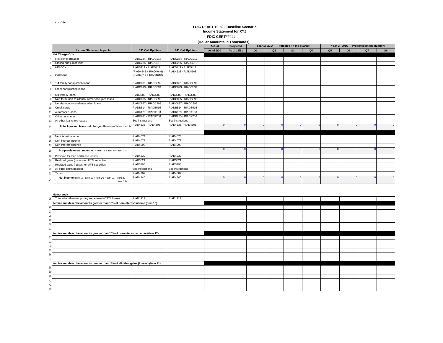#### **(Dollar Amounts in Thousands) Income Statement for XYZ FDIC DFAST 10-50 - Baseline Scenario FDIC CERT#####**

|                                                                           |                                                  |                     | (Dollar Amounts in Thousands) |             |                |    |                                            |                |                                            |    |           |          |  |  |
|---------------------------------------------------------------------------|--------------------------------------------------|---------------------|-------------------------------|-------------|----------------|----|--------------------------------------------|----------------|--------------------------------------------|----|-----------|----------|--|--|
|                                                                           |                                                  |                     | Actual                        | Projected   |                |    | Year 1: 2014 -- Projected (in the quarter) |                | Year 2: 2015 -- Projected (in the quarter) |    |           |          |  |  |
| <b>Income Statement Impacts</b>                                           | 031 Call Rpt Item                                | 041 Call Rpt Item   | As of 9/30                    | As of 12/31 | Q <sub>1</sub> | Q2 | Q3                                         | Q <sub>4</sub> | Q <sub>5</sub>                             | Q6 | <b>Q7</b> | Q8       |  |  |
| Net Charge-Offs                                                           |                                                  |                     |                               |             |                |    |                                            |                |                                            |    |           |          |  |  |
| First lien mortgages                                                      | RIADC234 - RIADC217                              | RIADC234 - RIADC217 |                               |             |                |    |                                            |                |                                            |    |           |          |  |  |
| Closed-end junior liens                                                   | RIADC235 - RIADC218                              | RIADC235 - RIADC218 |                               |             |                |    |                                            |                |                                            |    |           |          |  |  |
| <b>HELOCs</b>                                                             | RIAD5411 - RIAD5412                              | RIAD5411 - RIAD5412 |                               |             |                |    |                                            |                |                                            |    |           |          |  |  |
| C&I loans                                                                 | (RIAD4645 + RIAD4646) -<br>(RIAD4617 + RIAD4618) | RIAD4638 - RIAD4608 |                               |             |                |    |                                            |                |                                            |    |           |          |  |  |
| 1-4 family construction loans                                             | RIADC891 - RIADC892                              | RIADC891 - RIADC892 |                               |             |                |    |                                            |                |                                            |    |           |          |  |  |
| Other construction loans                                                  | RIADC893 - RIADC894                              | RIADC893 - RIADC894 |                               |             |                |    |                                            |                |                                            |    |           |          |  |  |
| Multifamily loans                                                         | RIAD3588 - RIAD3589                              | RIAD3588 - RIAD3589 |                               |             |                |    |                                            |                |                                            |    |           |          |  |  |
| Non-farm, non-residential owner occupied loans                            | RIADC895 - RIADC896                              | RIADC895 - RIADC896 |                               |             |                |    |                                            |                |                                            |    |           |          |  |  |
| Non-farm, non-residential other loans                                     | RIADC897 - RIADC898                              | RIADC897 - RIADC898 |                               |             |                |    |                                            |                |                                            |    |           |          |  |  |
| Credit cards                                                              | RIADB514 - RIADB515                              | RIADB514 - RIADB515 |                               |             |                |    |                                            |                |                                            |    |           |          |  |  |
| Automobile loans                                                          | RIADK129 - RIADK133                              | RIADK129 - RIADK133 |                               |             |                |    |                                            |                |                                            |    |           |          |  |  |
| Other consumer                                                            | RIADK205 - RIADK206                              | RIADK205 - RIADK206 |                               |             |                |    |                                            |                |                                            |    |           |          |  |  |
| All other loans and leases                                                | See instructions                                 | See instructions    |                               |             |                |    |                                            |                |                                            |    |           |          |  |  |
| Total loan and lease net charge offs (sum of items 1 to 13)               | RIAD4635 - RIAD4605                              | RIAD4635 - RIAD4605 |                               |             |                |    |                                            |                |                                            |    |           | $\Omega$ |  |  |
|                                                                           |                                                  |                     |                               |             |                |    |                                            |                |                                            |    |           |          |  |  |
| Net interest income                                                       | <b>RIAD4074</b>                                  | <b>RIAD4074</b>     |                               |             |                |    |                                            |                |                                            |    |           |          |  |  |
| Non-interest income                                                       | <b>RIAD4079</b>                                  | <b>RIAD4079</b>     |                               |             |                |    |                                            |                |                                            |    |           |          |  |  |
| Non-interest expense                                                      | RIAD4093                                         | <b>RIAD4093</b>     |                               |             |                |    |                                            |                |                                            |    |           |          |  |  |
| <b>Pre-provision net revenue</b> ( $=$ item 15 + item 16 - item 17)       |                                                  |                     |                               |             |                |    |                                            |                |                                            |    |           |          |  |  |
| Provision for loan and lease losses                                       | <b>RIAD4230</b>                                  | RIAD4230            |                               |             |                |    |                                            |                |                                            |    |           |          |  |  |
| Realized gains (losses) on HTM securities                                 | <b>RIAD3521</b>                                  | <b>RIAD3521</b>     |                               |             |                |    |                                            |                |                                            |    |           |          |  |  |
| Realized gains (losses) on AFS securities                                 | RIAD3196                                         | RIAD3196            |                               |             |                |    |                                            |                |                                            |    |           |          |  |  |
| All other gains (losses)                                                  | See instructions                                 | See instructions    |                               |             |                |    |                                            |                |                                            |    |           |          |  |  |
| Taxes                                                                     | <b>RIAD4302</b>                                  | <b>RIAD4302</b>     |                               |             |                |    |                                            |                |                                            |    |           |          |  |  |
| Net income (item 18 - item 19 + item 20 + item 21 + item 22 -<br>item 23) | <b>RIAD4340</b>                                  | <b>RIAD4340</b>     |                               |             |                |    |                                            |                |                                            |    |           | $\Omega$ |  |  |

| Memoranda |  |  |
|-----------|--|--|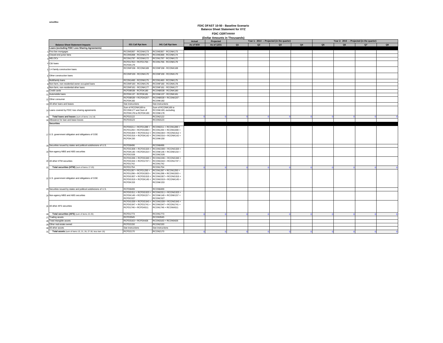|                                                                |                                                                                                              | (Dollar Amounts in Thousands)                                                                                                                            |            |             |    |    |                                           |    |                |    |                                           |    |  |
|----------------------------------------------------------------|--------------------------------------------------------------------------------------------------------------|----------------------------------------------------------------------------------------------------------------------------------------------------------|------------|-------------|----|----|-------------------------------------------|----|----------------|----|-------------------------------------------|----|--|
|                                                                |                                                                                                              |                                                                                                                                                          | Actual     | Projected   |    |    | Year 1: 2014 - Projected (in the quarter) |    |                |    | Year 2: 2015 - Projected (in the quarter) |    |  |
| <b>Balance Sheet Statement Impacts</b>                         | 031 Call Rpt Item                                                                                            | 041 Call Rpt Item                                                                                                                                        | As of 9/30 | As of 12/31 | Q1 | Q2 | Q3                                        | Q4 | Q <sub>5</sub> | Q6 | Q7                                        | Q8 |  |
| <b>Loans (excluding FDIC Loss Sharing Agreements)</b>          |                                                                                                              |                                                                                                                                                          |            |             |    |    |                                           |    |                |    |                                           |    |  |
| First lien mortgages                                           | RCON5367 - RCONK173                                                                                          | RCON5367 - RCONK173                                                                                                                                      |            |             |    |    |                                           |    |                |    |                                           |    |  |
| Closed-end junior liens                                        | RCON5368 - RCONK174                                                                                          | <b>RCON5368 - RCONK174</b>                                                                                                                               |            |             |    |    |                                           |    |                |    |                                           |    |  |
| <b>HELOCs</b>                                                  | RCON1797 - RCONK172                                                                                          | <b>RCON1797 - RCONK172</b>                                                                                                                               |            |             |    |    |                                           |    |                |    |                                           |    |  |
| C&I loans                                                      | RCFD1763 + RCFD1764 -<br>RCFDK179                                                                            | RCON1766 - RCONK179                                                                                                                                      |            |             |    |    |                                           |    |                |    |                                           |    |  |
| 1-4 family construction loans                                  | RCONF158 - RCONK169                                                                                          | RCONF158 - RCONK169                                                                                                                                      |            |             |    |    |                                           |    |                |    |                                           |    |  |
| Other construction loans                                       | RCONF159 - RCONK170                                                                                          | RCONF159 - RCONK170                                                                                                                                      |            |             |    |    |                                           |    |                |    |                                           |    |  |
| Multifamily loans                                              | RCON1460 - RCONK175                                                                                          | RCON1460 - RCONK175                                                                                                                                      |            |             |    |    |                                           |    |                |    |                                           |    |  |
| Non-farm, non-residential owner occupied loans                 | RCONF160 - RCONK176                                                                                          | RCONF160 - RCONK176                                                                                                                                      |            |             |    |    |                                           |    |                |    |                                           |    |  |
| Non-farm, non-residential other loans                          | RCONF161 - RCONK177                                                                                          | RCONF161 - RCONK177                                                                                                                                      |            |             |    |    |                                           |    |                |    |                                           |    |  |
| Credit cards                                                   | RCFDB538 - RCFDK180                                                                                          | RCONB538 - RCONK180                                                                                                                                      |            |             |    |    |                                           |    |                |    |                                           |    |  |
| Automobile Ioans                                               | RCFDK137 - RCFDK181                                                                                          | RCONK137 - RCONK181                                                                                                                                      |            |             |    |    |                                           |    |                |    |                                           |    |  |
|                                                                | RCFDB539 + RCFDK207 -                                                                                        | RCONB539 + RCONK207 -                                                                                                                                    |            |             |    |    |                                           |    |                |    |                                           |    |  |
| Other consumer                                                 | RCFDK182                                                                                                     | RCONK182                                                                                                                                                 |            |             |    |    |                                           |    |                |    |                                           |    |  |
| All other loans and leases                                     | See instructions                                                                                             | See instructions                                                                                                                                         |            |             |    |    |                                           |    |                |    |                                           |    |  |
|                                                                | Sum of RCONK169 to                                                                                           | Sum of RCONK169 to                                                                                                                                       |            |             |    |    |                                           |    |                |    |                                           |    |  |
| Loans covered by FDIC loss sharing agreements                  | RCONK177 and Sum of<br>RCFDK178 to RCFDK183                                                                  | RCONK183, excluding<br>RCONK178                                                                                                                          |            |             |    |    |                                           |    |                |    |                                           |    |  |
| Total loans and leases (sum of items 1 to 14)                  | <b>RCFD2122</b>                                                                                              | <b>RCON2122</b>                                                                                                                                          |            |             |    |    |                                           |    |                |    |                                           |    |  |
| Allowance for loan and lease losses                            | <b>RCFD3123</b>                                                                                              | <b>RCON3123</b>                                                                                                                                          |            |             |    |    |                                           |    |                |    |                                           |    |  |
|                                                                |                                                                                                              |                                                                                                                                                          |            |             |    |    |                                           |    |                |    |                                           |    |  |
| <b>Securities</b>                                              |                                                                                                              |                                                                                                                                                          |            |             |    |    |                                           |    |                |    |                                           |    |  |
| U.S. government obligation and obligations of GSE              | RCFD0211 + RCFD1289 +<br>RCFD1294 + RCFDG300 +<br>RCFDK150                                                   | RCON0211 + RCON1289 +<br>RCON1294 + RCONG300 +<br>RCFDG304 + RCFDG312 + RCONG304 + RCONG312 +<br>RCFDG316 + RCFDK142 + RCONG316 + RCONK142 +<br>RCONK150 |            |             |    |    |                                           |    |                |    |                                           |    |  |
| Securities issued by states and political subdivisions of U.S. | <b>RCFD8496</b>                                                                                              | <b>RCON8496</b>                                                                                                                                          |            |             |    |    |                                           |    |                |    |                                           |    |  |
| o Non-agency MBS and ABS securities                            | RCFDG308 + RCFDG320 +<br>RCFDK146 + RCFDK154 +<br>RCFDC026                                                   | RCONG308 + RCONG320 +<br>RCONK146 + RCONK154 +<br>RCONC026                                                                                               |            |             |    |    |                                           |    |                |    |                                           |    |  |
| 0 All other HTM securities                                     | RCFDG336 + RCFDG340 +<br>RCFDG344 + RCFD1737 +<br><b>RCFD1742</b>                                            | RCONG336 + RCONG340 +<br>RCONG344 + RCON1737 +<br><b>RCON1742</b>                                                                                        |            |             |    |    |                                           |    |                |    |                                           |    |  |
| Total securities (HTM) (sum of items 17-20)                    | <b>RCFD1754</b>                                                                                              | <b>RCON1754</b>                                                                                                                                          |            |             |    |    |                                           |    |                |    |                                           |    |  |
| U.S. government obligation and obligations of GSE              | RCFD1287 + RCFD1293 +<br>RCFD1298 + RCFDG303 +<br>RCFDG307 + RCFDG315 +<br>RCFDG319 + RCFDK145 +<br>RCFDK153 | RCON1287 + RCON1293 +<br>RCON1298 + RCONG303 +<br>RCONG307 + RCONG315 +<br>RCONG319 + RCONK145 +<br>RCONK153                                             |            |             |    |    |                                           |    |                |    |                                           |    |  |
| Securities issued by states and political subdivisions of U.S. | <b>RCFD8499</b>                                                                                              | <b>RCON8499</b>                                                                                                                                          |            |             |    |    |                                           |    |                |    |                                           |    |  |
| Non-agency MBS and ABS securities                              | RCFDG311 + RCFDG323 +<br>RCFDK149 + RCFDK157 +<br>RCFDC027                                                   | RCONG311 + RCONG323 +<br>RCONK149 + RCONK157 +<br>RCONC027                                                                                               |            |             |    |    |                                           |    |                |    |                                           |    |  |
| All other AFS securities                                       | RCFDG339 + RCFDG343 +<br>RCFDG347 + RCFD1741 +<br>RCFD1746 + RCFDA511                                        | RCONG339 + RCONG343 +<br>RCONG347 + RCON1741 +<br>RCON1746 + RCONA511                                                                                    |            |             |    |    |                                           |    |                |    |                                           |    |  |
| Total securities (AFS) (sum of items 22-25)                    | <b>RCFD1773</b>                                                                                              | <b>RCON1773</b>                                                                                                                                          |            |             |    |    |                                           |    |                |    |                                           |    |  |
| <b>Trading assets</b>                                          | <b>RCFD3545</b>                                                                                              | <b>RCON3545</b>                                                                                                                                          |            |             |    |    |                                           |    |                |    |                                           |    |  |
| Total intangible assets                                        | RCFD3163 + RCFD0426                                                                                          | RCON3163 + RCON0426                                                                                                                                      |            |             |    |    |                                           |    |                |    |                                           |    |  |
| Other real estate owned                                        | RCFD2150                                                                                                     | <b>RCON2150</b>                                                                                                                                          |            |             |    |    |                                           |    |                |    |                                           |    |  |
| All other assets                                               | See instructions                                                                                             | See instructions                                                                                                                                         |            |             |    |    |                                           |    |                |    |                                           |    |  |
| Total assets (sum of items 15, 21, 26, 27-30, less item 16)    | <b>RCFD2170</b>                                                                                              | <b>RCON2170</b>                                                                                                                                          |            |             |    |    |                                           |    |                |    |                                           |    |  |